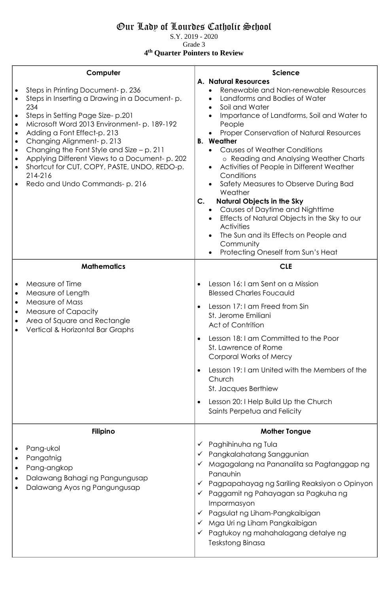## Our Lady of Lourdes Catholic School

S.Y. 2019 - 2020 Grade 3

**4 th Quarter Pointers to Review**

|                                                  | Computer                                                                                                                                                                                                                                                                                                                                                                                                                              | <b>Science</b>                                                                                                                                                                                                                                                                                                                                                                                                                                                                                                                                                                                                                                                                                                                        |
|--------------------------------------------------|---------------------------------------------------------------------------------------------------------------------------------------------------------------------------------------------------------------------------------------------------------------------------------------------------------------------------------------------------------------------------------------------------------------------------------------|---------------------------------------------------------------------------------------------------------------------------------------------------------------------------------------------------------------------------------------------------------------------------------------------------------------------------------------------------------------------------------------------------------------------------------------------------------------------------------------------------------------------------------------------------------------------------------------------------------------------------------------------------------------------------------------------------------------------------------------|
| $\bullet$<br>$\bullet$<br>$\bullet$<br>$\bullet$ | Steps in Printing Document-p. 236<br>Steps in Inserting a Drawing in a Document-p.<br>234<br>Steps in Setting Page Size-p.201<br>Microsoft Word 2013 Environment- p. 189-192<br>Adding a Font Effect-p. 213<br>Changing Alignment-p. 213<br>Changing the Font Style and Size $- p$ . 211<br>Applying Different Views to a Document-p. 202<br>Shortcut for CUT, COPY, PASTE, UNDO, REDO-p.<br>214-216<br>Redo and Undo Commands-p. 216 | <b>A. Natural Resources</b><br>Renewable and Non-renewable Resources<br>Landforms and Bodies of Water<br>$\bullet$<br>Soil and Water<br>Importance of Landforms, Soil and Water to<br>People<br>Proper Conservation of Natural Resources<br><b>B.</b> Weather<br><b>Causes of Weather Conditions</b><br>o Reading and Analysing Weather Charts<br>Activities of People in Different Weather<br>$\bullet$<br>Conditions<br>Safety Measures to Observe During Bad<br>Weather<br><b>Natural Objects in the Sky</b><br>$\mathsf{C}$ .<br>Causes of Daytime and Nighttime<br>Effects of Natural Objects in the Sky to our<br><b>Activities</b><br>The Sun and its Effects on People and<br>Community<br>Protecting Oneself from Sun's Heat |
|                                                  | <b>Mathematics</b>                                                                                                                                                                                                                                                                                                                                                                                                                    | <b>CLE</b>                                                                                                                                                                                                                                                                                                                                                                                                                                                                                                                                                                                                                                                                                                                            |
| $\bullet$<br>$\bullet$                           | Measure of Time<br>Measure of Length<br>Measure of Mass<br>Measure of Capacity<br>Area of Square and Rectangle<br>Vertical & Horizontal Bar Graphs                                                                                                                                                                                                                                                                                    | Lesson 16: I am Sent on a Mission<br><b>Blessed Charles Foucauld</b><br>Lesson 17:1 am Freed from Sin<br>St. Jerome Emiliani<br>Act of Contrition<br>Lesson 18: I am Committed to the Poor<br>St. Lawrence of Rome<br>Corporal Works of Mercy<br>Lesson 19:1 am United with the Members of the<br>$\bullet$<br>Church<br>St. Jacques Berthiew<br>Lesson 20: I Help Build Up the Church<br>Saints Perpetua and Felicity                                                                                                                                                                                                                                                                                                                |
|                                                  | <b>Filipino</b>                                                                                                                                                                                                                                                                                                                                                                                                                       | <b>Mother Tongue</b>                                                                                                                                                                                                                                                                                                                                                                                                                                                                                                                                                                                                                                                                                                                  |
|                                                  | Pang-ukol<br>Pangatnig<br>Pang-angkop<br>Dalawang Bahagi ng Pangungusap<br>Dalawang Ayos ng Pangungusap                                                                                                                                                                                                                                                                                                                               | Paghihinuha ng Tula<br>Pangkalahatang Sanggunian<br>Magagalang na Pananalita sa Pagtanggap ng<br>Panauhin<br>Pagpapahayag ng Sariling Reaksiyon o Opinyon<br>✓<br>Paggamit ng Pahayagan sa Pagkuha ng<br>Impormasyon<br>Pagsulat ng Liham-Pangkaibigan<br>✓<br>Mga Uri ng Liham Pangkaibigan<br>Pagtukoy ng mahahalagang detalye ng<br>Teskstong Binasa                                                                                                                                                                                                                                                                                                                                                                               |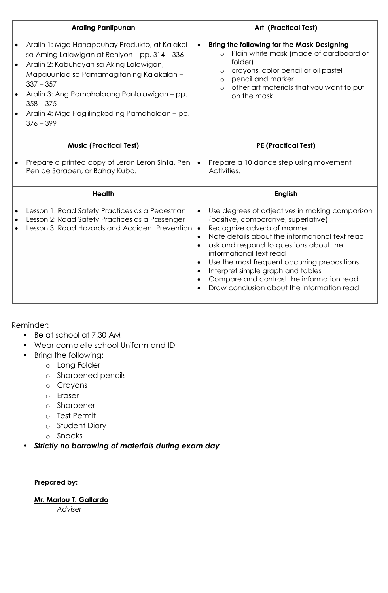| <b>Araling Panlipunan</b>                                                                                                                                                                                                                                                                                                            |                                                                                         | <b>Art (Practical Test)</b>                                                                                                                                                                                                                                                                                                                                                                                                 |
|--------------------------------------------------------------------------------------------------------------------------------------------------------------------------------------------------------------------------------------------------------------------------------------------------------------------------------------|-----------------------------------------------------------------------------------------|-----------------------------------------------------------------------------------------------------------------------------------------------------------------------------------------------------------------------------------------------------------------------------------------------------------------------------------------------------------------------------------------------------------------------------|
| Aralin 1: Mga Hanapbuhay Produkto, at Kalakal<br>sa Aming Lalawigan at Rehiyon - pp. 314 - 336<br>Aralin 2: Kabuhayan sa Aking Lalawigan,<br>Mapauunlad sa Pamamagitan ng Kalakalan -<br>$337 - 357$<br>Aralin 3: Ang Pamahalaang Panlalawigan - pp.<br>$358 - 375$<br>Aralin 4: Mga Paglilingkod ng Pamahalaan - pp.<br>$376 - 399$ | $\bullet$                                                                               | <b>Bring the following for the Mask Designing</b><br>Plain white mask (made of cardboard or<br>$\circ$<br>folder)<br>crayons, color pencil or oil pastel<br>$\circ$<br>pencil and marker<br>$\circ$<br>other art materials that you want to put<br>$\circ$<br>on the mask                                                                                                                                                   |
| <b>Music (Practical Test)</b>                                                                                                                                                                                                                                                                                                        |                                                                                         | <b>PE (Practical Test)</b>                                                                                                                                                                                                                                                                                                                                                                                                  |
| Prepare a printed copy of Leron Leron Sinta, Pen<br>Pen de Sarapen, or Bahay Kubo.                                                                                                                                                                                                                                                   | $\bullet$                                                                               | Prepare a 10 dance step using movement<br>Activities.                                                                                                                                                                                                                                                                                                                                                                       |
| <b>Health</b>                                                                                                                                                                                                                                                                                                                        |                                                                                         | <b>English</b>                                                                                                                                                                                                                                                                                                                                                                                                              |
| Lesson 1: Road Safety Practices as a Pedestrian<br>Lesson 2: Road Safety Practices as a Passenger<br>Lesson 3: Road Hazards and Accident Prevention                                                                                                                                                                                  | $\bullet$<br>$\bullet$<br>$\bullet$<br>$\bullet$<br>$\bullet$<br>$\bullet$<br>$\bullet$ | Use degrees of adjectives in making comparison<br>(positive, comparative, superlative)<br>Recognize adverb of manner<br>Note details about the informational text read<br>ask and respond to questions about the<br>informational text read<br>Use the most frequent occurring prepositions<br>Interpret simple graph and tables<br>Compare and contrast the information read<br>Draw conclusion about the information read |

Reminder:

- **•** Be at school at 7:30 AM
- **•** Wear complete school Uniform and ID
- **•** Bring the following:
	- o Long Folder
	- o Sharpened pencils
	- o Crayons
	- o Eraser
	- o Sharpener
	- o Test Permit
	- o Student Diary
	- o Snacks

**•** *Strictly no borrowing of materials during exam day*

## **Prepared by:**

**Mr. Marlou T. Gallardo** 

*Adviser*